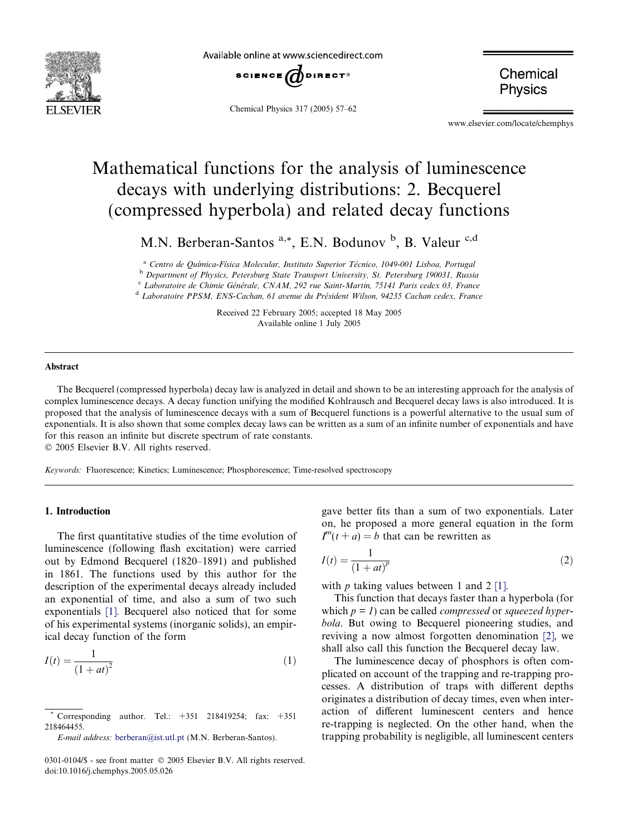<span id="page-0-0"></span>

Available online at www.sciencedirect.com



Chemical Physics 317 (2005) 57–62

Chemical **Physics** 

www.elsevier.com/locate/chemphys

# Mathematical functions for the analysis of luminescence decays with underlying distributions: 2. Becquerel (compressed hyperbola) and related decay functions

M.N. Berberan-Santos <sup>a,\*</sup>, E.N. Bodunov <sup>b</sup>, B. Valeur <sup>c,d</sup>

<sup>a</sup> Centro de Química-Física Molecular, Instituto Superior Técnico, 1049-001 Lisboa, Portugal

<sup>b</sup> Department of Physics, Petersburg State Transport University, St. Petersburg 190031, Russia

c Laboratoire de Chimie Générale, CNAM, 292 rue Saint-Martin, 75141 Paris cedex 03, France

<sup>d</sup> Laboratoire PPSM, ENS-Cachan, 61 avenue du Président Wilson, 94235 Cachan cedex, France

Received 22 February 2005; accepted 18 May 2005 Available online 1 July 2005

### Abstract

The Becquerel (compressed hyperbola) decay law is analyzed in detail and shown to be an interesting approach for the analysis of complex luminescence decays. A decay function unifying the modified Kohlrausch and Becquerel decay laws is also introduced. It is proposed that the analysis of luminescence decays with a sum of Becquerel functions is a powerful alternative to the usual sum of exponentials. It is also shown that some complex decay laws can be written as a sum of an infinite number of exponentials and have for this reason an infinite but discrete spectrum of rate constants.

2005 Elsevier B.V. All rights reserved.

Keywords: Fluorescence; Kinetics; Luminescence; Phosphorescence; Time-resolved spectroscopy

### 1. Introduction

The first quantitative studies of the time evolution of luminescence (following flash excitation) were carried out by Edmond Becquerel (1820–1891) and published in 1861. The functions used by this author for the description of the experimental decays already included an exponential of time, and also a sum of two such exponentials [\[1\].](#page-5-0) Becquerel also noticed that for some of his experimental systems (inorganic solids), an empirical decay function of the form

$$
I(t) = \frac{1}{(1+at)^2}
$$
 (1)

gave better fits than a sum of two exponentials. Later on, he proposed a more general equation in the form  $I^{m}(t + a) = b$  that can be rewritten as

$$
I(t) = \frac{1}{(1+at)^p} \tag{2}
$$

with  $p$  taking values between 1 and 2 [\[1\]](#page-5-0).

This function that decays faster than a hyperbola (for which  $p = 1$ ) can be called *compressed* or *squeezed hyper*bola. But owing to Becquerel pioneering studies, and reviving a now almost forgotten denomination [\[2\]](#page-5-0), we shall also call this function the Becquerel decay law.

The luminescence decay of phosphors is often complicated on account of the trapping and re-trapping processes. A distribution of traps with different depths originates a distribution of decay times, even when interaction of different luminescent centers and hence re-trapping is neglected. On the other hand, when the trapping probability is negligible, all luminescent centers

Corresponding author. Tel.:  $+351$  218419254; fax:  $+351$ 218464455.

E-mail address: [berberan@ist.utl.pt](mailto:berberan@ist.utl.pt) (M.N. Berberan-Santos).

<sup>0301-0104/\$ -</sup> see front matter © 2005 Elsevier B.V. All rights reserved. doi:10.1016/j.chemphys.2005.05.026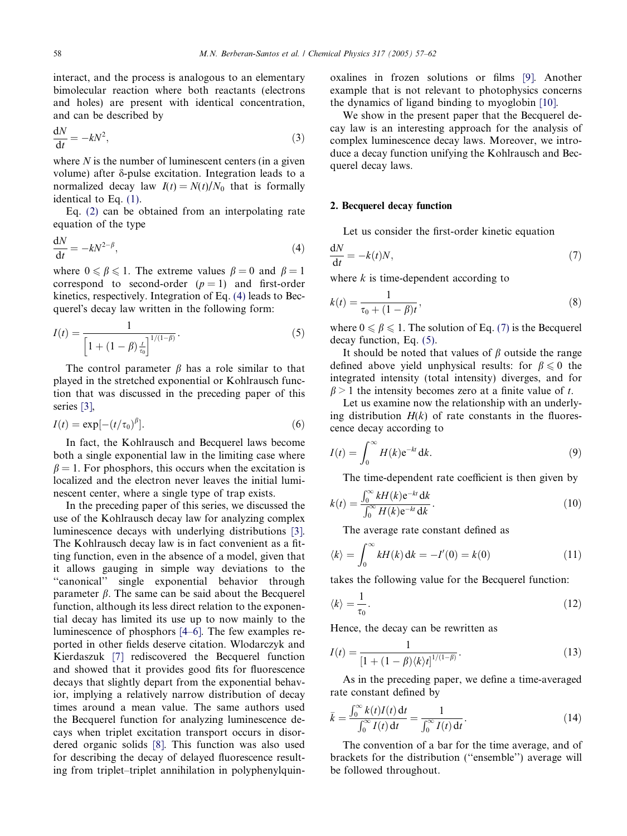<span id="page-1-0"></span>interact, and the process is analogous to an elementary bimolecular reaction where both reactants (electrons and holes) are present with identical concentration, and can be described by

$$
\frac{\mathrm{d}N}{\mathrm{d}t} = -kN^2,\tag{3}
$$

where  $N$  is the number of luminescent centers (in a given volume) after *d*-pulse excitation. Integration leads to a normalized decay law  $I(t) = N(t)/N_0$  that is formally identical to Eq. [\(1\)](#page-0-0).

Eq. [\(2\)](#page-0-0) can be obtained from an interpolating rate equation of the type

$$
\frac{\mathrm{d}N}{\mathrm{d}t} = -kN^{2-\beta},\tag{4}
$$

where  $0 \le \beta \le 1$ . The extreme values  $\beta = 0$  and  $\beta = 1$ correspond to second-order  $(p = 1)$  and first-order kinetics, respectively. Integration of Eq. (4) leads to Becquerel's decay law written in the following form:

$$
I(t) = \frac{1}{\left[1 + (1 - \beta) \frac{t}{t_0}\right]^{1/(1 - \beta)}}.
$$
\n(5)

The control parameter  $\beta$  has a role similar to that played in the stretched exponential or Kohlrausch function that was discussed in the preceding paper of this series [\[3\]](#page-5-0),

$$
I(t) = \exp[-(t/\tau_0)^{\beta}].
$$
\n(6)

In fact, the Kohlrausch and Becquerel laws become both a single exponential law in the limiting case where  $\beta = 1$ . For phosphors, this occurs when the excitation is localized and the electron never leaves the initial luminescent center, where a single type of trap exists.

In the preceding paper of this series, we discussed the use of the Kohlrausch decay law for analyzing complex luminescence decays with underlying distributions [\[3\]](#page-5-0). The Kohlrausch decay law is in fact convenient as a fitting function, even in the absence of a model, given that it allows gauging in simple way deviations to the "canonical" single exponential behavior through parameter  $\beta$ . The same can be said about the Becquerel function, although its less direct relation to the exponential decay has limited its use up to now mainly to the luminescence of phosphors [\[4–6\].](#page-5-0) The few examples reported in other fields deserve citation. Wlodarczyk and Kierdaszuk [\[7\]](#page-5-0) rediscovered the Becquerel function and showed that it provides good fits for fluorescence decays that slightly depart from the exponential behavior, implying a relatively narrow distribution of decay times around a mean value. The same authors used the Becquerel function for analyzing luminescence decays when triplet excitation transport occurs in disordered organic solids [\[8\].](#page-5-0) This function was also used for describing the decay of delayed fluorescence resulting from triplet–triplet annihilation in polyphenylquinoxalines in frozen solutions or films [\[9\].](#page-5-0) Another example that is not relevant to photophysics concerns the dynamics of ligand binding to myoglobin [\[10\].](#page-5-0)

We show in the present paper that the Becquerel decay law is an interesting approach for the analysis of complex luminescence decay laws. Moreover, we introduce a decay function unifying the Kohlrausch and Becquerel decay laws.

#### 2. Becquerel decay function

 $\ddotsc$ 

Let us consider the first-order kinetic equation

$$
\frac{dN}{dt} = -k(t)N,\tag{7}
$$

where  $k$  is time-dependent according to

$$
k(t) = \frac{1}{\tau_0 + (1 - \beta)t},
$$
\n(8)

where  $0 \le \beta \le 1$ . The solution of Eq. (7) is the Becquerel decay function, Eq. (5).

It should be noted that values of  $\beta$  outside the range defined above yield unphysical results: for  $\beta \le 0$  the integrated intensity (total intensity) diverges, and for  $\beta$  > 1 the intensity becomes zero at a finite value of t.

Let us examine now the relationship with an underlying distribution  $H(k)$  of rate constants in the fluorescence decay according to

$$
I(t) = \int_0^\infty H(k) e^{-kt} dk.
$$
 (9)

The time-dependent rate coefficient is then given by

$$
k(t) = \frac{\int_0^\infty k H(k) e^{-kt} dk}{\int_0^\infty H(k) e^{-kt} dk}.
$$
 (10)

The average rate constant defined as

$$
\langle k \rangle = \int_0^\infty k H(k) \, \mathrm{d}k = -I'(0) = k(0) \tag{11}
$$

takes the following value for the Becquerel function:

$$
\langle k \rangle = \frac{1}{\tau_0}.\tag{12}
$$

Hence, the decay can be rewritten as

$$
I(t) = \frac{1}{\left[1 + (1 - \beta)\langle k \rangle t\right]^{1/(1 - \beta)}}.
$$
\n(13)

As in the preceding paper, we define a time-averaged rate constant defined by

$$
\bar{k} = \frac{\int_0^\infty k(t)I(t) dt}{\int_0^\infty I(t) dt} = \frac{1}{\int_0^\infty I(t) dt}.
$$
\n(14)

The convention of a bar for the time average, and of brackets for the distribution (''ensemble'') average will be followed throughout.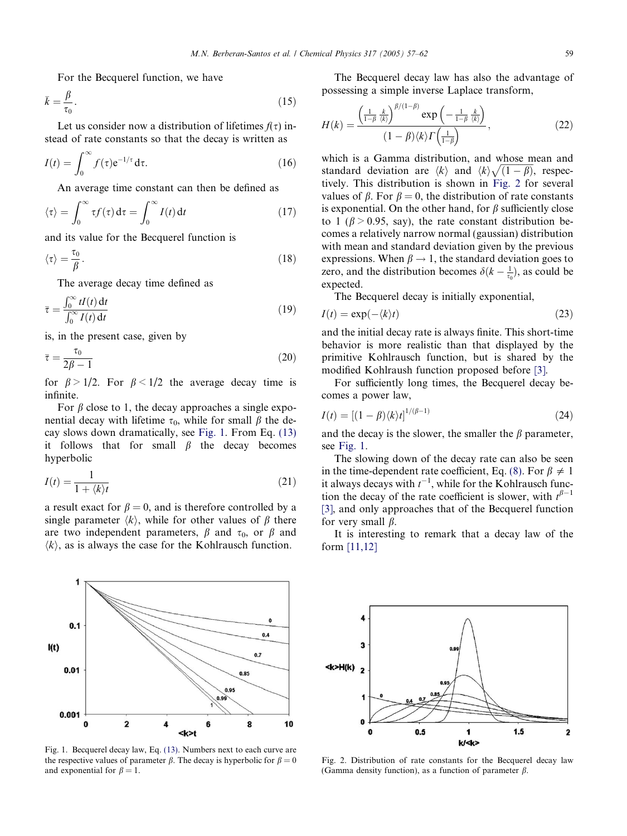<span id="page-2-0"></span>For the Becquerel function, we have

$$
\bar{k} = \frac{\beta}{\tau_0}.\tag{15}
$$

Let us consider now a distribution of lifetimes  $f(\tau)$  instead of rate constants so that the decay is written as

$$
I(t) = \int_0^\infty f(\tau) e^{-1/\tau} d\tau.
$$
 (16)

An average time constant can then be defined as

$$
\langle \tau \rangle = \int_0^\infty \tau f(\tau) \, \mathrm{d}\tau = \int_0^\infty I(t) \, \mathrm{d}t \tag{17}
$$

and its value for the Becquerel function is

$$
\langle \tau \rangle = \frac{\tau_0}{\beta}.\tag{18}
$$

The average decay time defined as

$$
\bar{\tau} = \frac{\int_0^\infty t I(t) \, \mathrm{d}t}{\int_0^\infty I(t) \, \mathrm{d}t} \tag{19}
$$

is, in the present case, given by

1

 $0.1$ 

 $0.01$ 

 $I(t)$ 

$$
\bar{\tau} = \frac{\tau_0}{2\beta - 1} \tag{20}
$$

for  $\beta > 1/2$ . For  $\beta < 1/2$  the average decay time is infinite.

For  $\beta$  close to 1, the decay approaches a single exponential decay with lifetime  $\tau_0$ , while for small  $\beta$  the decay slows down dramatically, see Fig. 1. From Eq. [\(13\)](#page-1-0) it follows that for small  $\beta$  the decay becomes hyperbolic

$$
I(t) = \frac{1}{1 + \langle k \rangle t} \tag{21}
$$

a result exact for  $\beta = 0$ , and is therefore controlled by a single parameter  $\langle k \rangle$ , while for other values of  $\beta$  there are two independent parameters,  $\beta$  and  $\tau_0$ , or  $\beta$  and  $\langle k \rangle$ , as is always the case for the Kohlrausch function.

 $\mathbf{0}$ 

 $0.4$ 

 $0.7$ 

0.85



the respective values of parameter  $\beta$ . The decay is hyperbolic for  $\beta = 0$ and exponential for  $\beta = 1$ .

The Becquerel decay law has also the advantage of possessing a simple inverse Laplace transform,

$$
H(k) = \frac{\left(\frac{1}{1-\beta}\frac{k}{\langle k\rangle}\right)^{\beta/(1-\beta)}\exp\left(-\frac{1}{1-\beta}\frac{k}{\langle k\rangle}\right)}{(1-\beta)\langle k\rangle\Gamma\left(\frac{1}{1-\beta}\right)},\tag{22}
$$

which is a Gamma distribution, and whose mean and standard deviation are  $\langle k \rangle$  and  $\langle k \rangle \sqrt{(1-\beta)}$ , respectively. This distribution is shown in Fig. 2 for several values of  $\beta$ . For  $\beta = 0$ , the distribution of rate constants is exponential. On the other hand, for  $\beta$  sufficiently close to 1 ( $\beta$  > 0.95, say), the rate constant distribution becomes a relatively narrow normal (gaussian) distribution with mean and standard deviation given by the previous expressions. When  $\beta \rightarrow 1$ , the standard deviation goes to zero, and the distribution becomes  $\delta(k - \frac{1}{\tau_0})$ , as could be expected.

The Becquerel decay is initially exponential,

$$
I(t) = \exp(-\langle k \rangle t) \tag{23}
$$

and the initial decay rate is always finite. This short-time behavior is more realistic than that displayed by the primitive Kohlrausch function, but is shared by the modified Kohlraush function proposed before [\[3\].](#page-5-0)

For sufficiently long times, the Becquerel decay becomes a power law,

$$
I(t) = [(1 - \beta)\langle k \rangle t]^{1/(\beta - 1)}
$$
\n(24)

and the decay is the slower, the smaller the  $\beta$  parameter, see Fig. 1.

The slowing down of the decay rate can also be seen in the time-dependent rate coefficient, Eq. [\(8\).](#page-1-0) For  $\beta \neq 1$ it always decays with  $t^{-1}$ , while for the Kohlrausch function the decay of the rate coefficient is slower, with  $t^{\beta-1}$ [\[3\],](#page-5-0) and only approaches that of the Becquerel function for very small  $\beta$ .

It is interesting to remark that a decay law of the form [\[11,12\]](#page-5-0)



Fig. 2. Distribution of rate constants for the Becquerel decay law (Gamma density function), as a function of parameter  $\beta$ .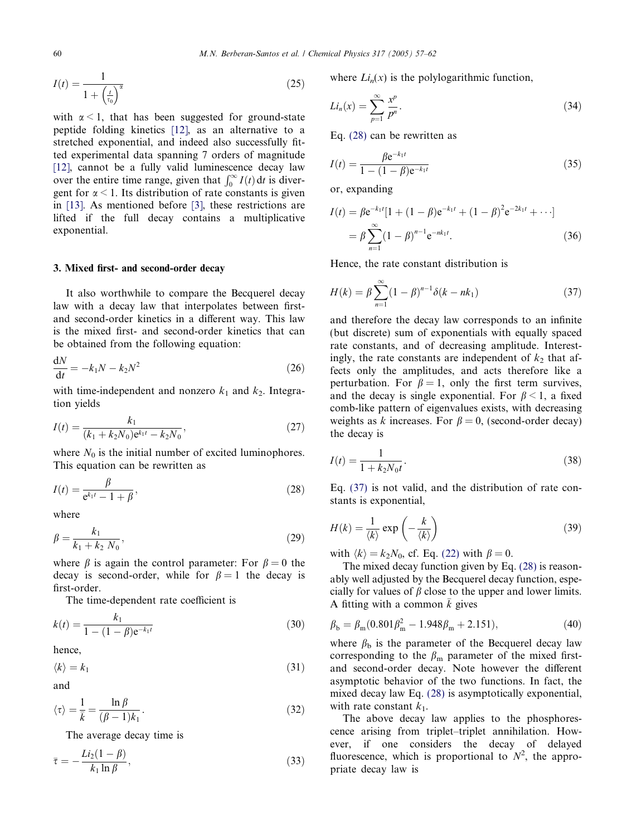<span id="page-3-0"></span>
$$
I(t) = \frac{1}{1 + \left(\frac{t}{\tau_0}\right)^{\alpha}}
$$
\n
$$
(25)
$$

with  $\alpha$  < 1, that has been suggested for ground-state peptide folding kinetics [\[12\]](#page-5-0), as an alternative to a stretched exponential, and indeed also successfully fitted experimental data spanning 7 orders of magnitude [\[12\]](#page-5-0), cannot be a fully valid luminescence decay law over the entire time range, given that  $\int_0^\infty I(t) dt$  is divergent for  $\alpha$  < 1. Its distribution of rate constants is given in [\[13\].](#page-5-0) As mentioned before [\[3\]](#page-5-0), these restrictions are lifted if the full decay contains a multiplicative exponential.

#### 3. Mixed first- and second-order decay

It also worthwhile to compare the Becquerel decay law with a decay law that interpolates between firstand second-order kinetics in a different way. This law is the mixed first- and second-order kinetics that can be obtained from the following equation:

$$
\frac{\mathrm{d}N}{\mathrm{d}t} = -k_1 N - k_2 N^2 \tag{26}
$$

with time-independent and nonzero  $k_1$  and  $k_2$ . Integration yields

$$
I(t) = \frac{k_1}{(k_1 + k_2 N_0) e^{k_1 t} - k_2 N_0},
$$
\n(27)

where  $N_0$  is the initial number of excited luminophores. This equation can be rewritten as

$$
I(t) = \frac{\beta}{e^{k_1 t} - 1 + \beta},
$$
\n(28)

where

$$
\beta = \frac{k_1}{k_1 + k_2 N_0},\tag{29}
$$

where  $\beta$  is again the control parameter: For  $\beta = 0$  the decay is second-order, while for  $\beta = 1$  the decay is first-order.

The time-dependent rate coefficient is

$$
k(t) = \frac{k_1}{1 - (1 - \beta)e^{-k_1 t}}
$$
\n(30)

hence,

$$
\langle k \rangle = k_1 \tag{31}
$$

and

$$
\langle \tau \rangle = \frac{1}{\overline{k}} = \frac{\ln \beta}{(\beta - 1)k_1}.
$$
 (32)

The average decay time is

$$
\bar{\tau} = -\frac{Li_2(1-\beta)}{k_1 \ln \beta},\tag{33}
$$

where  $Li_n(x)$  is the polylogarithmic function,

$$
Li_n(x) = \sum_{p=1}^{\infty} \frac{x^p}{p^n}.
$$
\n(34)

Eq. (28) can be rewritten as

$$
I(t) = \frac{\beta e^{-k_1 t}}{1 - (1 - \beta)e^{-k_1 t}}
$$
(35)

or, expanding

$$
I(t) = \beta e^{-k_1 t} [1 + (1 - \beta)e^{-k_1 t} + (1 - \beta)^2 e^{-2k_1 t} + \cdots]
$$
  
=  $\beta \sum_{n=1}^{\infty} (1 - \beta)^{n-1} e^{-nk_1 t}.$  (36)

Hence, the rate constant distribution is

$$
H(k) = \beta \sum_{n=1}^{\infty} (1 - \beta)^{n-1} \delta(k - nk_1)
$$
 (37)

and therefore the decay law corresponds to an infinite (but discrete) sum of exponentials with equally spaced rate constants, and of decreasing amplitude. Interestingly, the rate constants are independent of  $k_2$  that affects only the amplitudes, and acts therefore like a perturbation. For  $\beta = 1$ , only the first term survives, and the decay is single exponential. For  $\beta < 1$ , a fixed comb-like pattern of eigenvalues exists, with decreasing weights as k increases. For  $\beta = 0$ , (second-order decay) the decay is

$$
I(t) = \frac{1}{1 + k_2 N_0 t}.
$$
\n(38)

Eq. (37) is not valid, and the distribution of rate constants is exponential,

$$
H(k) = \frac{1}{\langle k \rangle} \exp\left(-\frac{k}{\langle k \rangle}\right) \tag{39}
$$

with  $\langle k \rangle = k_2N_0$ , cf. Eq. [\(22\)](#page-2-0) with  $\beta = 0$ .

The mixed decay function given by Eq. (28) is reasonably well adjusted by the Becquerel decay function, especially for values of  $\beta$  close to the upper and lower limits. A fitting with a common  $\overline{k}$  gives

$$
\beta_{\rm b} = \beta_{\rm m} (0.801 \beta_{\rm m}^2 - 1.948 \beta_{\rm m} + 2.151), \tag{40}
$$

where  $\beta_b$  is the parameter of the Becquerel decay law corresponding to the  $\beta_{\rm m}$  parameter of the mixed firstand second-order decay. Note however the different asymptotic behavior of the two functions. In fact, the mixed decay law Eq. (28) is asymptotically exponential, with rate constant  $k_1$ .

The above decay law applies to the phosphorescence arising from triplet–triplet annihilation. However, if one considers the decay of delayed fluorescence, which is proportional to  $N^2$ , the appropriate decay law is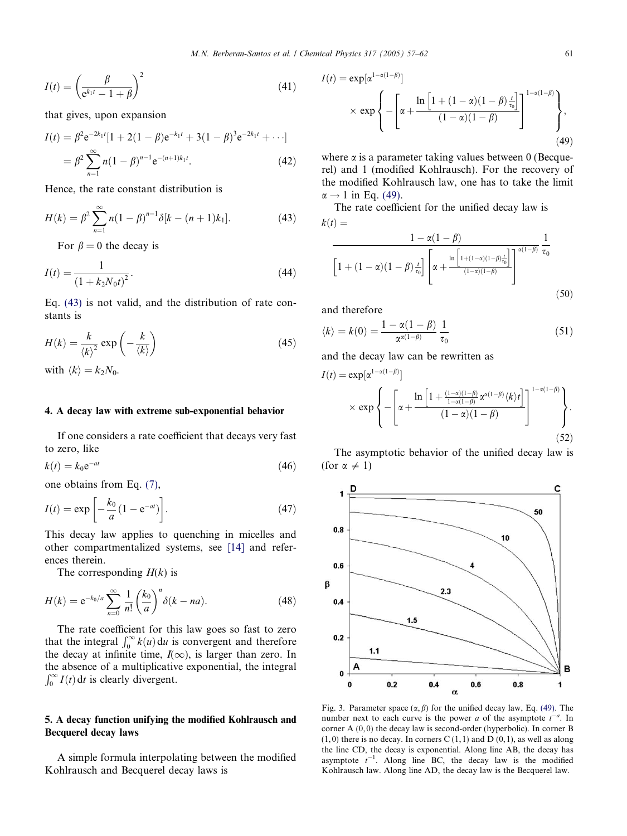<span id="page-4-0"></span>
$$
I(t) = \left(\frac{\beta}{e^{k_1 t} - 1 + \beta}\right)^2\tag{41}
$$

that gives, upon expansion

$$
I(t) = \beta^2 e^{-2k_1 t} [1 + 2(1 - \beta)e^{-k_1 t} + 3(1 - \beta)^3 e^{-2k_1 t} + \cdots]
$$
  
= 
$$
\beta^2 \sum_{n=1}^{\infty} n(1 - \beta)^{n-1} e^{-(n+1)k_1 t}.
$$
 (42)

Hence, the rate constant distribution is

$$
H(k) = \beta^2 \sum_{n=1}^{\infty} n(1-\beta)^{n-1} \delta[k - (n+1)k_1].
$$
 (43)

For  $\beta = 0$  the decay is

$$
I(t) = \frac{1}{(1 + k_2 N_0 t)^2}.
$$
\n(44)

Eq. (43) is not valid, and the distribution of rate constants is

$$
H(k) = \frac{k}{\langle k \rangle^2} \exp\left(-\frac{k}{\langle k \rangle}\right) \tag{45}
$$

with  $\langle k \rangle = k_2N_0$ .

# 4. A decay law with extreme sub-exponential behavior

If one considers a rate coefficient that decays very fast to zero, like

$$
k(t) = k_0 e^{-at} \tag{46}
$$

one obtains from Eq. [\(7\)](#page-1-0),

$$
I(t) = \exp\left[-\frac{k_0}{a}(1 - e^{-at})\right].\tag{47}
$$

This decay law applies to quenching in micelles and other compartmentalized systems, see [\[14\]](#page-5-0) and references therein.

The corresponding  $H(k)$  is

$$
H(k) = e^{-k_0/a} \sum_{n=0}^{\infty} \frac{1}{n!} \left(\frac{k_0}{a}\right)^n \delta(k - na).
$$
 (48)

The rate coefficient for this law goes so fast to zero that the integral  $\int_0^\infty k(u) du$  is convergent and therefore the decay at infinite time,  $I(\infty)$ , is larger than zero. In the absence of a multiplicative exponential, the integral  $\int_0^\infty I(t) dt$  is clearly divergent.

# 5. A decay function unifying the modified Kohlrausch and Becquerel decay laws

A simple formula interpolating between the modified Kohlrausch and Becquerel decay laws is

$$
I(t) = \exp[\alpha^{1-\alpha(1-\beta)}]
$$
  
 
$$
\times \exp\left\{-\left[\alpha + \frac{\ln\left[1 + (1-\alpha)(1-\beta)\frac{t}{t_0}\right]}{(1-\alpha)(1-\beta)}\right]^{1-\alpha(1-\beta)}\right\},\tag{49}
$$

where  $\alpha$  is a parameter taking values between 0 (Becquerel) and 1 (modified Kohlrausch). For the recovery of the modified Kohlrausch law, one has to take the limit  $\alpha \rightarrow 1$  in Eq. (49).

The rate coefficient for the unified decay law is  $k(t) =$ 

$$
\frac{1 - \alpha(1 - \beta)}{\left[1 + (1 - \alpha)(1 - \beta) \frac{t}{\tau_0}\right] \left[\alpha + \frac{\ln\left[1 + (1 - \alpha)(1 - \beta) \frac{t}{\tau_0}\right]}{(1 - \alpha)(1 - \beta)}\right]^{\alpha(1 - \beta)}} \frac{1}{\tau_0}
$$
\n(50)

and therefore

$$
\langle k \rangle = k(0) = \frac{1 - \alpha(1 - \beta)}{\alpha^{\alpha(1 - \beta)}} \frac{1}{\tau_0}
$$
\n(51)

and the decay law can be rewritten as

$$
I(t) = \exp[\alpha^{1-\alpha(1-\beta)}]
$$
  
 
$$
\times \exp\left\{-\left[\alpha + \frac{\ln\left[1 + \frac{(1-\alpha)(1-\beta)}{1-\alpha(1-\beta)}\alpha^{\alpha(1-\beta)}\langle k\rangle t\right]}{(1-\alpha)(1-\beta)}\right]^{1-\alpha(1-\beta)}\right\}.
$$
(52)

The asymptotic behavior of the unified decay law is (for  $\alpha \neq 1$ )



Fig. 3. Parameter space  $(\alpha, \beta)$  for the unified decay law, Eq. (49). The number next to each curve is the power *a* of the asymptote  $t^{-a}$ . In corner A  $(0, 0)$  the decay law is second-order (hyperbolic). In corner B  $(1, 0)$  there is no decay. In corners C  $(1, 1)$  and D  $(0, 1)$ , as well as along the line CD, the decay is exponential. Along line AB, the decay has asymptote  $t^{-1}$ . Along line BC, the decay law is the modified Kohlrausch law. Along line AD, the decay law is the Becquerel law.